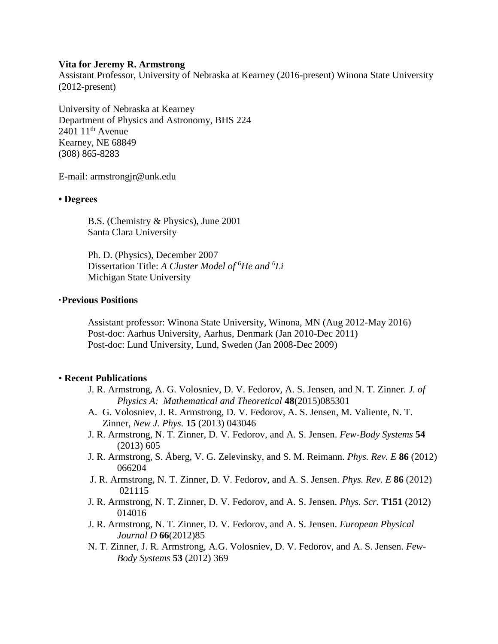### **Vita for Jeremy R. Armstrong**

Assistant Professor, University of Nebraska at Kearney (2016-present) Winona State University (2012-present)

University of Nebraska at Kearney Department of Physics and Astronomy, BHS 224  $240111$ <sup>th</sup> Avenue Kearney, NE 68849 (308) 865-8283

E-mail: armstrongj[r@u](mailto:Jeremy.Armstrong@matfys.lth.se)nk.edu

### **• Degrees**

B.S. (Chemistry & Physics), June 2001 Santa Clara University

Ph. D. (Physics), December 2007 Dissertation Title: *A Cluster Model of <sup>6</sup>He and <sup>6</sup>Li* Michigan State University

## **·Previous Positions**

Assistant professor: Winona State University, Winona, MN (Aug 2012-May 2016) Post-doc: Aarhus University, Aarhus, Denmark (Jan 2010-Dec 2011) Post-doc: Lund University, Lund, Sweden (Jan 2008-Dec 2009)

#### • **Recent Publications**

- J. R. Armstrong, A. G. Volosniev, D. V. Fedorov, A. S. Jensen, and N. T. Zinner. *J. of Physics A: Mathematical and Theoretical* **48**(2015)085301
- A. G. Volosniev, J. R. Armstrong, D. V. Fedorov, A. S. Jensen, M. Valiente, N. T. Zinner, *New J. Phys.* **15** (2013) 043046
- J. R. Armstrong, N. T. Zinner, D. V. Fedorov, and A. S. Jensen. *Few-Body Systems* **54**  (2013) 605
- J. R. Armstrong, S. Åberg, V. G. Zelevinsky, and S. M. Reimann. *Phys. Rev. E* **86** (2012) 066204
- J. R. Armstrong, N. T. Zinner, D. V. Fedorov, and A. S. Jensen. *Phys. Rev. E* **86** (2012) 021115
- J. R. Armstrong, N. T. Zinner, D. V. Fedorov, and A. S. Jensen. *Phys. Scr.* **T151** (2012) 014016
- J. R. Armstrong, N. T. Zinner, D. V. Fedorov, and A. S. Jensen. *European Physical Journal D* **66**(2012)85
- N. T. Zinner, J. R. Armstrong, A.G. Volosniev, D. V. Fedorov, and A. S. Jensen. *Few-Body Systems* **53** (2012) 369